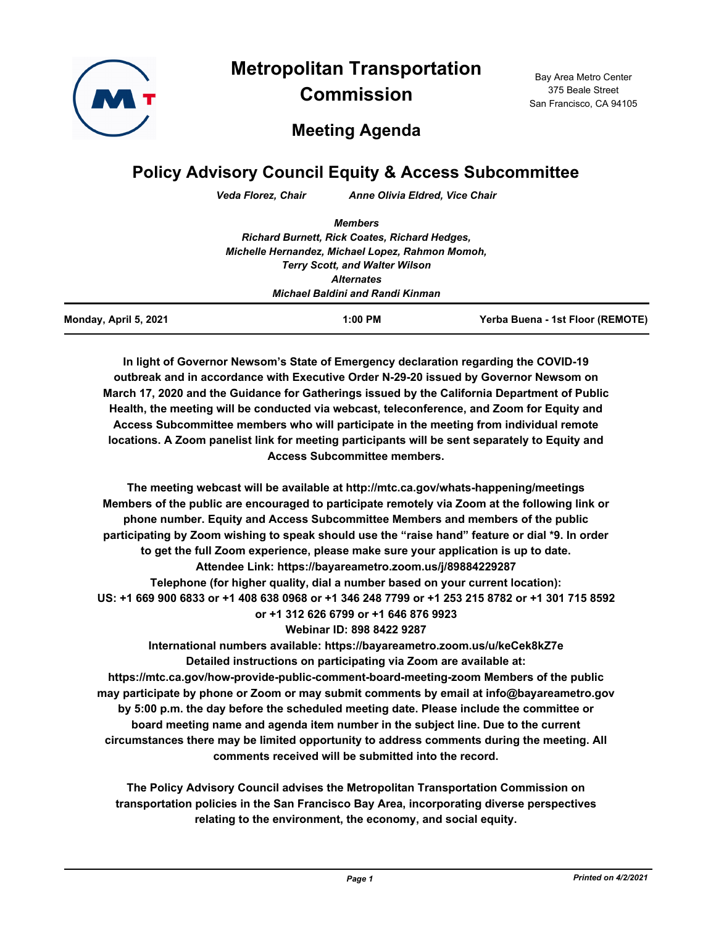

**Metropolitan Transportation Commission**

Bay Area Metro Center 375 Beale Street San Francisco, CA 94105

# **Meeting Agenda**

## **Policy Advisory Council Equity & Access Subcommittee**

*Veda Florez, Chair Anne Olivia Eldred, Vice Chair*

| <b>Terry Scott, and Walter Wilson</b>                |  |  |
|------------------------------------------------------|--|--|
|                                                      |  |  |
|                                                      |  |  |
|                                                      |  |  |
| Michelle Hernandez, Michael Lopez, Rahmon Momoh,     |  |  |
| <b>Richard Burnett, Rick Coates, Richard Hedges,</b> |  |  |
|                                                      |  |  |
|                                                      |  |  |

**In light of Governor Newsom's State of Emergency declaration regarding the COVID-19 outbreak and in accordance with Executive Order N-29-20 issued by Governor Newsom on March 17, 2020 and the Guidance for Gatherings issued by the California Department of Public Health, the meeting will be conducted via webcast, teleconference, and Zoom for Equity and Access Subcommittee members who will participate in the meeting from individual remote locations. A Zoom panelist link for meeting participants will be sent separately to Equity and Access Subcommittee members.**

**The meeting webcast will be available at http://mtc.ca.gov/whats-happening/meetings Members of the public are encouraged to participate remotely via Zoom at the following link or phone number. Equity and Access Subcommittee Members and members of the public participating by Zoom wishing to speak should use the "raise hand" feature or dial \*9. In order to get the full Zoom experience, please make sure your application is up to date. Attendee Link: https://bayareametro.zoom.us/j/89884229287 Telephone (for higher quality, dial a number based on your current location): US: +1 669 900 6833 or +1 408 638 0968 or +1 346 248 7799 or +1 253 215 8782 or +1 301 715 8592 or +1 312 626 6799 or +1 646 876 9923 Webinar ID: 898 8422 9287 International numbers available: https://bayareametro.zoom.us/u/keCek8kZ7e Detailed instructions on participating via Zoom are available at: https://mtc.ca.gov/how-provide-public-comment-board-meeting-zoom Members of the public may participate by phone or Zoom or may submit comments by email at info@bayareametro.gov by 5:00 p.m. the day before the scheduled meeting date. Please include the committee or** 

**board meeting name and agenda item number in the subject line. Due to the current circumstances there may be limited opportunity to address comments during the meeting. All comments received will be submitted into the record.**

**The Policy Advisory Council advises the Metropolitan Transportation Commission on transportation policies in the San Francisco Bay Area, incorporating diverse perspectives relating to the environment, the economy, and social equity.**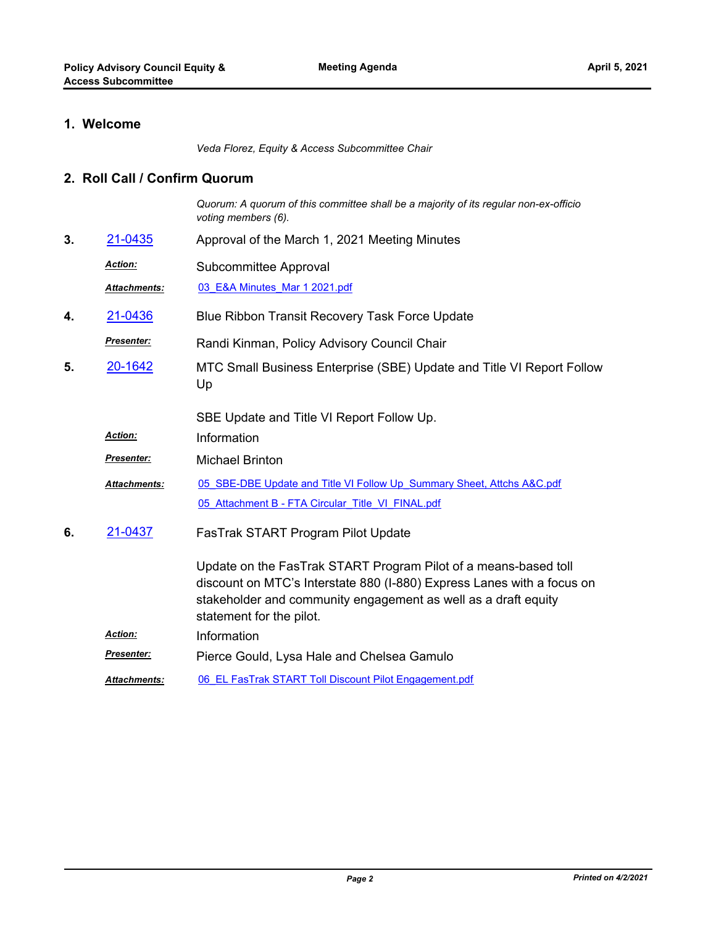### **1. Welcome**

*Veda Florez, Equity & Access Subcommittee Chair*

#### **2. Roll Call / Confirm Quorum**

*Quorum: A quorum of this committee shall be a majority of its regular non-ex-officio voting members (6).*

- **3.** [21-0435](http://mtc.legistar.com/gateway.aspx?m=l&id=/matter.aspx?key=22028) Approval of the March 1, 2021 Meeting Minutes
	- Subcommittee Approval *Action:*

*Attachments:* [03\\_E&A Minutes\\_Mar 1 2021.pdf](http://mtc.legistar.com/gateway.aspx?M=F&ID=08940e87-b164-4234-a30d-e30e8124b155.pdf)

- **4.** [21-0436](http://mtc.legistar.com/gateway.aspx?m=l&id=/matter.aspx?key=22029) Blue Ribbon Transit Recovery Task Force Update
- Randi Kinman, Policy Advisory Council Chair *Presenter:*
- MTC Small Business Enterprise (SBE) Update and Title VI Report Follow Up **5.** [20-1642](http://mtc.legistar.com/gateway.aspx?m=l&id=/matter.aspx?key=21507)

SBE Update and Title VI Report Follow Up.

- *Action:* Information
- *Presenter:* Michael Brinton
- [05\\_SBE-DBE Update and Title VI Follow Up\\_Summary Sheet, Attchs A&C.pdf](http://mtc.legistar.com/gateway.aspx?M=F&ID=dad73ac9-8e99-48ee-af86-d8a670ae717e.pdf) 05 Attachment B - FTA Circular\_Title\_VI\_FINAL.pdf *Attachments:*
- FasTrak START Program Pilot Update **6.** [21-0437](http://mtc.legistar.com/gateway.aspx?m=l&id=/matter.aspx?key=22030)

Update on the FasTrak START Program Pilot of a means-based toll discount on MTC's Interstate 880 (I-880) Express Lanes with a focus on stakeholder and community engagement as well as a draft equity statement for the pilot.

- *Action:* Information
- *Presenter:* Pierce Gould, Lysa Hale and Chelsea Gamulo
- *Attachments:* [06\\_EL FasTrak START Toll Discount Pilot Engagement.pdf](http://mtc.legistar.com/gateway.aspx?M=F&ID=04f5e3c7-9ba6-4be5-94f4-b80632a87895.pdf)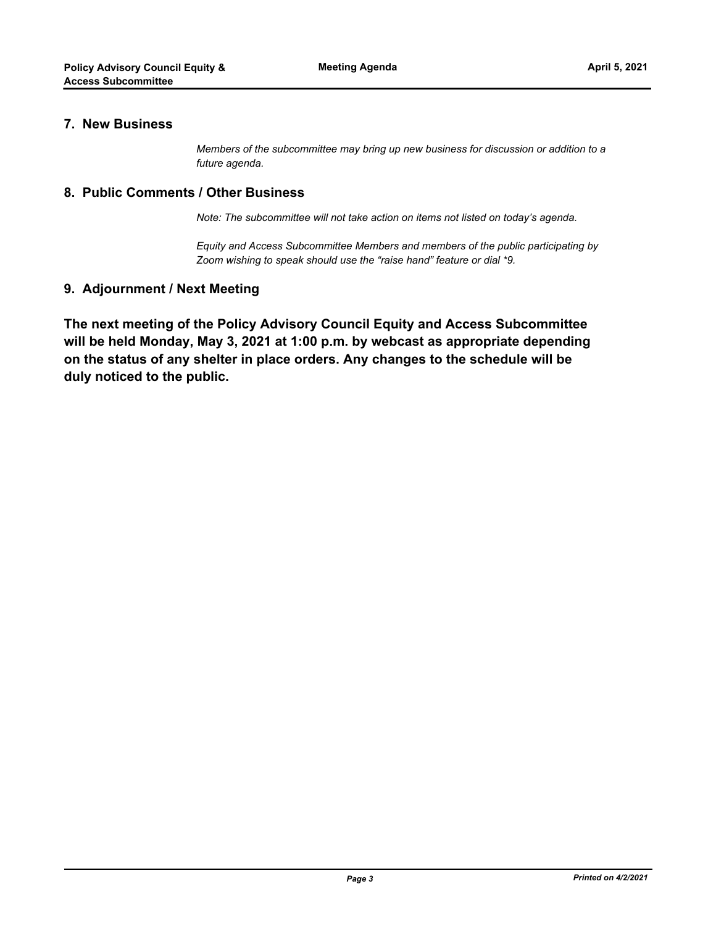#### **7. New Business**

*Members of the subcommittee may bring up new business for discussion or addition to a future agenda.*

#### **8. Public Comments / Other Business**

*Note: The subcommittee will not take action on items not listed on today's agenda.*

*Equity and Access Subcommittee Members and members of the public participating by Zoom wishing to speak should use the "raise hand" feature or dial \*9.*

#### **9. Adjournment / Next Meeting**

**The next meeting of the Policy Advisory Council Equity and Access Subcommittee will be held Monday, May 3, 2021 at 1:00 p.m. by webcast as appropriate depending on the status of any shelter in place orders. Any changes to the schedule will be duly noticed to the public.**